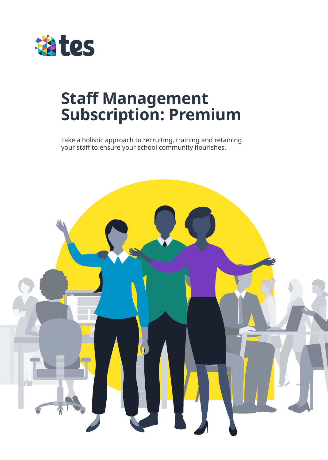

# **Staff Management Subscription: Premium**

Take a holistic approach to recruiting, training and retaining your staff to ensure your school community flourishes.

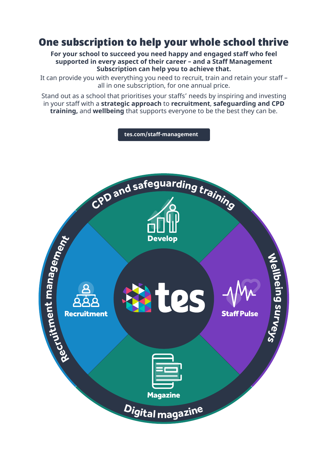# One subscription to help your whole school thrive

**For your school to succeed you need happy and engaged staff who feel supported in every aspect of their career – and a Staff Management Subscription can help you to achieve that.**

It can provide you with everything you need to recruit, train and retain your staff – all in one subscription, for one annual price.

Stand out as a school that prioritises your staffs' needs by inspiring and investing in your staff with a **strategic approach** to **recruitment**, **safeguarding and CPD training,** and **wellbeing** that supports everyone to be the best they can be.

**[tes.com/staff-management](www.tes.com/staff-management) <sup>C</sup>P<sup>D</sup> <sup>a</sup>n<sup>d</sup> <sup>s</sup>afeguardin<sup>g</sup> <sup>t</sup>rainin<sup>g</sup> nagement** Develop **Wellbein a m** DC **g t s n Recruitment Staff Pulse u e rveys mt Recrui Magazine <sup>D</sup>igita<sup>l</sup> <sup>m</sup>agazin<sup>e</sup>**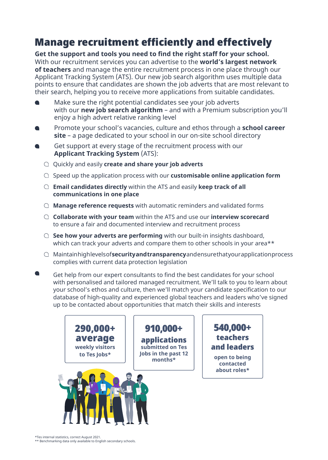# Manage recruitment efficiently and effectively

**Get the support and tools you need to find the right staff for your school.** With our recruitment services you can advertise to the **world's largest network of teachers** and manage the entire recruitment process in one place through our Applicant Tracking System (ATS). Our new job search algorithm uses multiple data points to ensure that candidates are shown the job adverts that are most relevant to their search, helping you to receive more applications from suitable candidates.

- Make sure the right potential candidates see your job adverts with our **new job search algorithm** – and with a Premium subscription you'll enjoy a high advert relative ranking level
- Promote your school's vacancies, culture and ethos through a **school career site** – a page dedicated to your school in our on-site school directory
- Get support at every stage of the recruitment process with our **Applicant Tracking System** (ATS):
	- Quickly and easily **create and share your job adverts**
	- Speed up the application process with our **customisable online application form**
	- **Email candidates directly** within the ATS and easily **keep track of all communications in one place**
	- **Manage reference requests** with automatic reminders and validated forms
	- **Collaborate with your team** within the ATS and use our **interview scorecard** to ensure a fair and documented interview and recruitment process
	- **See how your adverts are performing** with our built-in insights dashboard, which can track your adverts and compare them to other schools in your area\*\*
	- Maintain high levels of **security and transparency** and ensure that your application process complies with current data protection legislation
- Get help from our expert consultants to find the best candidates for your school with personalised and tailored managed recruitment. We'll talk to you to learn about your school's ethos and culture, then we'll match your candidate specification to our database of high-quality and experienced global teachers and leaders who've signed up to be contacted about opportunities that match their skills and interests



\*Tes internal statistics, correct August 2021.

\*\* Benchmarking data only available to English secondary schools.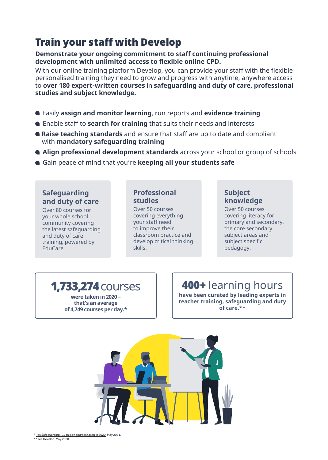# Train your staff with Develop

#### **Demonstrate your ongoing commitment to staff continuing professional development with unlimited access to flexible online CPD.**

With our online training platform Develop, you can provide your staff with the flexible personalised training they need to grow and progress with anytime, anywhere access to **over 180 expert-written courses** in **safeguarding and duty of care, professional studies and subject knowledge.**

- Easily **assign and monitor learning**, run reports and **evidence training**
- Enable staff to **search for training** that suits their needs and interests
- **Raise teaching standards** and ensure that staff are up to date and compliant with **mandatory safeguarding training**
- **Align professional development standards** across your school or group of schools
- Gain peace of mind that you're **keeping all your students safe**

#### **Safeguarding and duty of care**

Over 80 courses for your whole school community covering the latest safeguarding and duty of care training, powered by EduCare.

#### **Professional studies**

Over 50 courses covering everything your staff need to improve their classroom practice and develop critical thinking skills.

#### **Subject knowledge**

Over 50 courses covering literacy for primary and secondary, the core secondary subject areas and subject specific pedagogy.

### 1,733,274courses

**were taken in 2020 – that's an average of 4,749 courses per day.\***

# 400+ learning hours

**have been curated by leading experts in teacher training, safeguarding and duty of care.\*\***



\* [Tes Safeguarding: 1.7 million courses taken in 2020](https://www.tes.com/for-schools/blog/article/tes-safeguarding-17-million-courses-taken-2020), May 2021.

\*\* [Tes Develop,](https://www.tes.com/for-schools/develop) May 2020.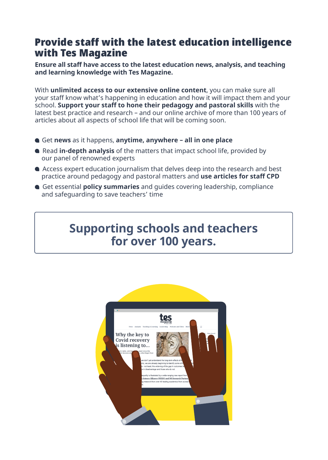# Provide staff with the latest education intelligence with Tes Magazine

**Ensure all staff have access to the latest education news, analysis, and teaching and learning knowledge with Tes Magazine.**

With **unlimited access to our extensive online content**, you can make sure all your staff know what's happening in education and how it will impact them and your school. **Support your staff to hone their pedagogy and pastoral skills** with the latest best practice and research – and our online archive of more than 100 years of articles about all aspects of school life that will be coming soon.

- Get **news** as it happens, **anytime, anywhere all in one place**
- Read **in-depth analysis** of the matters that impact school life, provided by our panel of renowned experts
- Access expert education journalism that delves deep into the research and best practice around pedagogy and pastoral matters and **use articles for staff CPD**
- Get essential **policy summaries** and guides covering leadership, compliance and safeguarding to save teachers' time

# **Supporting schools and teachers for over 100 years.**

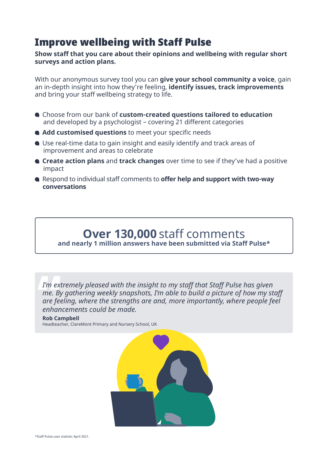# Improve wellbeing with Staff Pulse

**Show staff that you care about their opinions and wellbeing with regular short surveys and action plans.**

With our anonymous survey tool you can **give your school community a voice**, gain an in-depth insight into how they're feeling, **identify issues, track improvements** and bring your staff wellbeing strategy to life.

- Choose from our bank of **custom-created questions tailored to education** and developed by a psychologist – covering 21 different categories
- **Add customised questions** to meet your specific needs
- Use real-time data to gain insight and easily identify and track areas of improvement and areas to celebrate
- **Create action plans** and **track changes** over time to see if they've had a positive impact
- Respond to individual staff comments to **offer help and support with two-way conversations**

#### **Over 130,000** staff comments **and nearly 1 million answers have been submitted via Staff Pulse\***

*I'm extremely pleased with the insight to my staff that Staff Pulse has given me. By gathering weekly snapshots, I'm able to build a picture of how my staff are feeling, where the strengths are and, more importantly, where people feel enhancements could be made.*

**Rob Campbell**

Headteacher, ClareMont Primary and Nursery School, UK

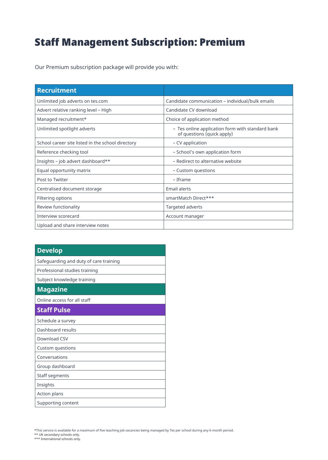# Staff Management Subscription: Premium

Our Premium subscription package will provide you with:

| <b>Recruitment</b>                                |                                                                                |
|---------------------------------------------------|--------------------------------------------------------------------------------|
| Unlimited job adverts on tes.com                  | Candidate communication - individual/bulk emails                               |
| Advert relative ranking level - High              | Candidate CV download                                                          |
| Managed recruitment*                              | Choice of application method                                                   |
| Unlimited spotlight adverts                       | - Tes online application form with standard bank<br>of questions (quick apply) |
| School career site listed in the school directory | - CV application                                                               |
| Reference checking tool                           | - School's own application form                                                |
| Insights - job advert dashboard**                 | - Redirect to alternative website                                              |
| Equal opportunity matrix                          | - Custom questions                                                             |
| Post to Twitter                                   | - Iframe                                                                       |
| Centralised document storage                      | Email alerts                                                                   |
| Filtering options                                 | smartMatch Direct***                                                           |
| Review functionality                              | Targeted adverts                                                               |
| Interview scorecard                               | Account manager                                                                |
| Upload and share interview notes                  |                                                                                |

| <b>Develop</b>                         |  |
|----------------------------------------|--|
| Safeguarding and duty of care training |  |
| Professional studies training          |  |
| Subject knowledge training             |  |
| <b>Magazine</b>                        |  |
| Online access for all staff            |  |
| <b>Staff Pulse</b>                     |  |
| Schedule a survey                      |  |
| Dashboard results                      |  |
| Download CSV                           |  |
| Custom questions                       |  |
| Conversations                          |  |
| Group dashboard                        |  |
| Staff segments                         |  |
| Insights                               |  |
| Action plans                           |  |
| Supporting content                     |  |

\*This service is available for a maximum of five teaching job vacancies being managed by Tes per school during any 6-month period. \*\* UK secondary schools only.

\*\*\* International schools only.